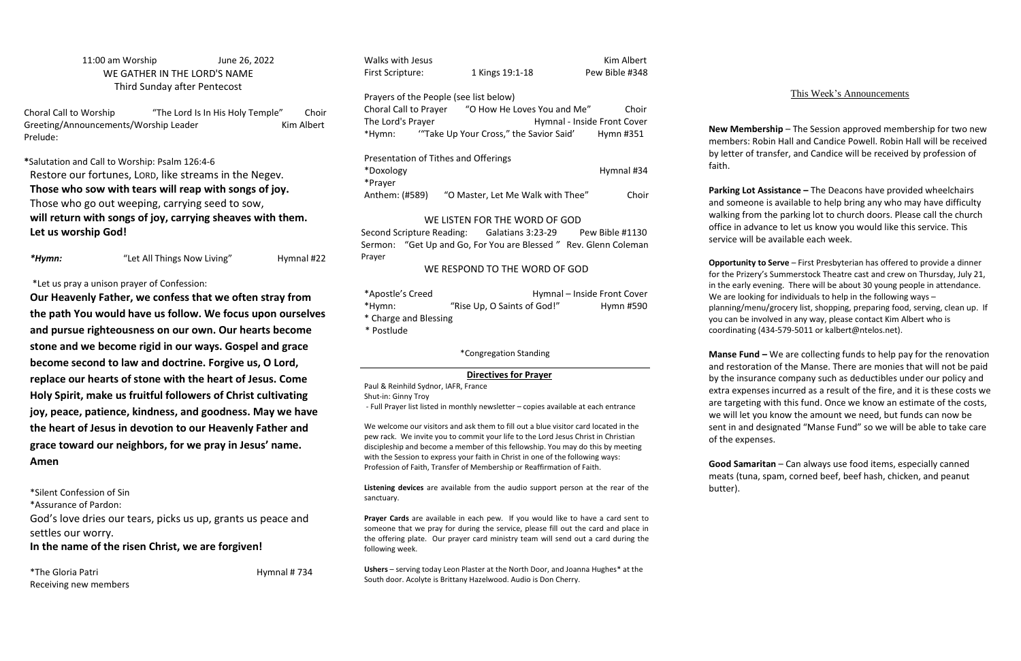## 11:00 am Worship June 26, 2022 WE GATHER IN THE LORD'S NAME Third Sunday after Pentecost

Choral Call to Worship "The Lord Is In His Holy Temple" Choir Greeting/Announcements/Worship Leader Kim Albert Prelude:

**\***Salutation and Call to Worship: Psalm 126:4-6 Restore our fortunes, LORD, like streams in the Negev. **Those who sow with tears will reap with songs of joy.** Those who go out weeping, carrying seed to sow, **will return with songs of joy, carrying sheaves with them. Let us worship God!**

*\*Hymn:* "Let All Things Now Living" Hymnal #22

## \*Let us pray a unison prayer of Confession:

\*The Gloria Patri **Hymnal # 734** Receiving new members

Walks with Jesus **Kim Albert** First Scripture: 1 Kings 19:1-18 Pew Bible #348

**Our Heavenly Father, we confess that we often stray from the path You would have us follow. We focus upon ourselves and pursue righteousness on our own. Our hearts become stone and we become rigid in our ways. Gospel and grace become second to law and doctrine. Forgive us, O Lord, replace our hearts of stone with the heart of Jesus. Come Holy Spirit, make us fruitful followers of Christ cultivating joy, peace, patience, kindness, and goodness. May we have the heart of Jesus in devotion to our Heavenly Father and grace toward our neighbors, for we pray in Jesus' name. Amen**

Second Scripture Reading: Galatians 3:23-29 Pew Bible #1130 Sermon: "Get Up and Go, For You are Blessed *"* Rev. Glenn Coleman Prayer

| *Apostle's Creed      |                             | Hymnal - Inside Front Cover |
|-----------------------|-----------------------------|-----------------------------|
| *Hymn:                | "Rise Up, O Saints of God!" | Hymn #590                   |
| * Charge and Blessing |                             |                             |

\*Silent Confession of Sin

\*Assurance of Pardon:

God's love dries our tears, picks us up, grants us peace and settles our worry.

**In the name of the risen Christ, we are forgiven!**

Prayers of the People (see list below)

Choral Call to Prayer "O How He Loves You and Me" Choir The Lord's Prayer The Lord's Prayer Front Cover \*Hymn: '"Take Up Your Cross," the Savior Said' Hymn #351

Presentation of Tithes and Offerings \*Doxology Hymnal #34 \*Prayer Anthem: (#589) "O Master, Let Me Walk with Thee" Choir

## WE LISTEN FOR THE WORD OF GOD

## WE RESPOND TO THE WORD OF GOD

\* Postlude

\*Congregation Standing

## **Directives for Prayer**

Paul & Reinhild Sydnor, IAFR, France

Shut-in: Ginny Troy

- Full Prayer list listed in monthly newsletter – copies available at each entrance

**Manse Fund –** We are collecting funds to help pay for the renovation and restoration of the Manse. There are monies that will not be paid by the insurance company such as deductibles under our policy and extra expenses incurred as a result of the fire, and it is these costs we are targeting with this fund. Once we know an estimate of the costs, we will let you know the amount we need, but funds can now be sent in and designated "Manse Fund" so we will be able to take care of the expenses.

We welcome our visitors and ask them to fill out a blue visitor card located in the pew rack. We invite you to commit your life to the Lord Jesus Christ in Christian discipleship and become a member of this fellowship. You may do this by meeting with the Session to express your faith in Christ in one of the following ways: Profession of Faith, Transfer of Membership or Reaffirmation of Faith.

**Listening devices** are available from the audio support person at the rear of the sanctuary.

**Prayer Cards** are available in each pew. If you would like to have a card sent to someone that we pray for during the service, please fill out the card and place in the offering plate. Our prayer card ministry team will send out a card during the following week.

**Ushers** – serving today Leon Plaster at the North Door, and Joanna Hughes\* at the South door. Acolyte is Brittany Hazelwood. Audio is Don Cherry.

## This Week's Announcements

**New Membership** – The Session approved membership for two new members: Robin Hall and Candice Powell. Robin Hall will be received by letter of transfer, and Candice will be received by profession of

faith.

**Parking Lot Assistance –** The Deacons have provided wheelchairs and someone is available to help bring any who may have difficulty walking from the parking lot to church doors. Please call the church office in advance to let us know you would like this service. This service will be available each week.

**Opportunity to Serve** – First Presbyterian has offered to provide a dinner for the Prizery's Summerstock Theatre cast and crew on Thursday, July 21, in the early evening. There will be about 30 young people in attendance. We are looking for individuals to help in the following ways – planning/menu/grocery list, shopping, preparing food, serving, clean up. If you can be involved in any way, please contact Kim Albert who is coordinating (434-579-5011 or kalbert@ntelos.net).

**Good Samaritan** – Can always use food items, especially canned meats (tuna, spam, corned beef, beef hash, chicken, and peanut

# butter).